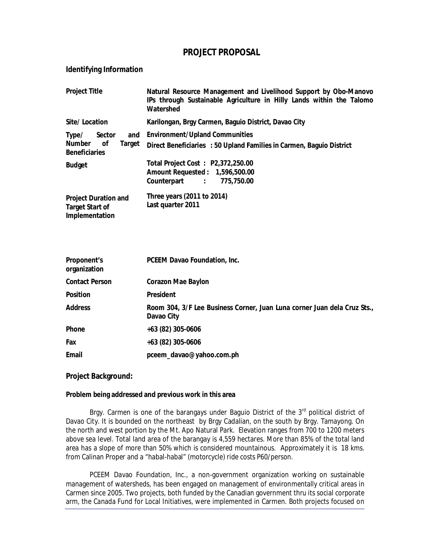## **PROJECT PROPOSAL**

## **Identifying Information**

| <b>Project Title</b>                                                                   | Natural Resource Management and Livelihood Support by Obo-Manovo<br>IPs through Sustainable Agriculture in Hilly Lands within the Talomo<br>Watershed |
|----------------------------------------------------------------------------------------|-------------------------------------------------------------------------------------------------------------------------------------------------------|
| Site/Location                                                                          | Karilongan, Brgy Carmen, Baguio District, Davao City                                                                                                  |
| Type/<br><b>Sector</b><br>and<br><b>Number</b><br>οf<br>Target<br><b>Beneficiaries</b> | <b>Environment/Upland Communities</b><br>Direct Beneficiaries : 50 Upland Families in Carmen, Baguio District                                         |
| <b>Budget</b>                                                                          | Total Project Cost: P2,372,250.00<br>Amount Requested: 1,596,500.00<br>775,750.00<br>Counterpart :                                                    |
| <b>Project Duration and</b><br><b>Target Start of</b><br>Implementation                | Three years (2011 to 2014)<br>Last quarter 2011                                                                                                       |

| <b>Proponent's</b><br>organization | <b>PCEEM Davao Foundation, Inc.</b>                                                    |
|------------------------------------|----------------------------------------------------------------------------------------|
| <b>Contact Person</b>              | <b>Corazon Mae Baylon</b>                                                              |
| <b>Position</b>                    | <b>President</b>                                                                       |
| <b>Address</b>                     | Room 304, 3/F Lee Business Corner, Juan Luna corner Juan dela Cruz Sts.,<br>Davao City |
| Phone                              | +63 (82) 305-0606                                                                      |
| Fax                                | +63 (82) 305-0606                                                                      |
| Email                              | pceem_davao@yahoo.com.ph                                                               |

## **Project Background:**

### **Problem being addressed and previous work in this area**

Brgy. Carmen is one of the barangays under Baguio District of the 3<sup>rd</sup> political district of Davao City. It is bounded on the northeast by Brgy Cadalian, on the south by Brgy. Tamayong. On the north and west portion by the Mt. Apo Natural Park. Elevation ranges from 700 to 1200 meters above sea level. Total land area of the barangay is 4,559 hectares. More than 85% of the total land area has a slope of more than 50% which is considered mountainous. Approximately it is 18 kms. from Calinan Proper and a "habal-habal" (motorcycle) ride costs P60/person.

PCEEM Davao Foundation, Inc., a non-government organization working on sustainable management of watersheds, has been engaged on management of environmentally critical areas in Carmen since 2005. Two projects, both funded by the Canadian government thru its social corporate arm, the Canada Fund for Local Initiatives, were implemented in Carmen. Both projects focused on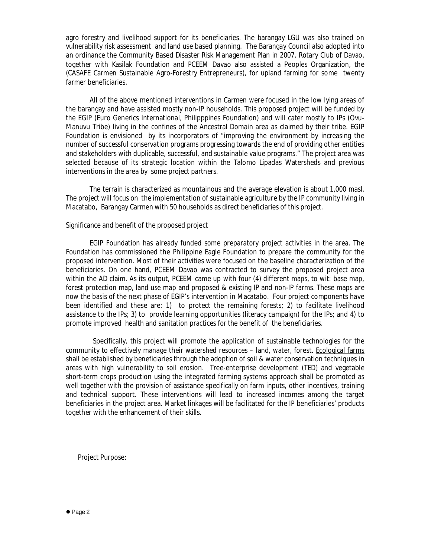agro forestry and livelihood support for its beneficiaries. The barangay LGU was also trained on vulnerability risk assessment and land use based planning. The Barangay Council also adopted into an ordinance the Community Based Disaster Risk Management Plan in 2007. Rotary Club of Davao, together with Kasilak Foundation and PCEEM Davao also assisted a Peoples Organization, the (CASAFE Carmen Sustainable Agro-Forestry Entrepreneurs), for upland farming for some twenty farmer beneficiaries.

All of the above mentioned interventions in Carmen were focused in the low lying areas of the barangay and have assisted mostly non-IP households. This proposed project will be funded by the EGIP (Euro Generics International, Philipppines Foundation) and will cater mostly to IPs (Ovu-Manuvu Tribe) living in the confines of the Ancestral Domain area as claimed by their tribe. EGIP Foundation is envisioned by its incorporators of "improving the environment by increasing the number of successful conservation programs progressing towards the end of providing other entities and stakeholders with duplicable, successful, and sustainable value programs." The project area was selected because of its strategic location within the Talomo Lipadas Watersheds and previous interventions in the area by some project partners.

The terrain is characterized as mountainous and the average elevation is about 1,000 masl. The project will focus on the implementation of sustainable agriculture by the IP community living in Macatabo, Barangay Carmen with 50 households as direct beneficiaries of this project.

#### Significance and benefit of the proposed project

EGIP Foundation has already funded some preparatory project activities in the area. The Foundation has commissioned the Philippine Eagle Foundation to prepare the community for the proposed intervention. Most of their activities were focused on the baseline characterization of the beneficiaries. On one hand, PCEEM Davao was contracted to survey the proposed project area within the AD claim. As its output, PCEEM came up with four (4) different maps, to wit: base map, forest protection map, land use map and proposed & existing IP and non-IP farms. These maps are now the basis of the next phase of EGIP's intervention in Macatabo. Four project components have been identified and these are: 1) to protect the remaining forests; 2) to facilitate livelihood assistance to the IPs; 3) to provide learning opportunities (literacy campaign) for the IPs; and 4) to promote improved health and sanitation practices for the benefit of the beneficiaries.

 Specifically, this project will promote the application of sustainable technologies for the community to effectively manage their watershed resources – land, water, forest. Ecological farms shall be established by beneficiaries through the adoption of soil & water conservation techniques in areas with high vulnerability to soil erosion. Tree-enterprise development (TED) and vegetable short-term crops production using the integrated farming systems approach shall be promoted as well together with the provision of assistance specifically on farm inputs, other incentives, training and technical support. These interventions will lead to increased incomes among the target beneficiaries in the project area. Market linkages will be facilitated for the IP beneficiaries' products together with the enhancement of their skills.

Project Purpose: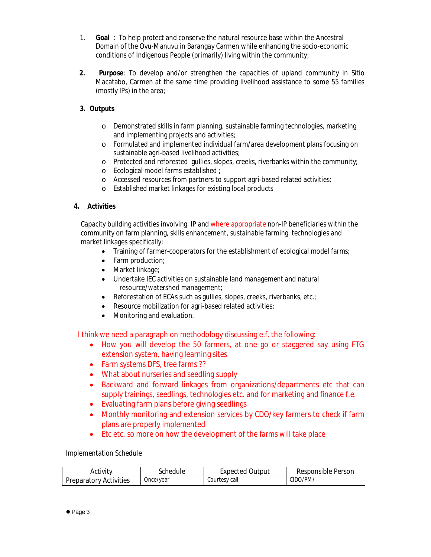- 1. **Goal** : To help protect and conserve the natural resource base within the Ancestral Domain of the Ovu-Manuvu in Barangay Carmen while enhancing the socio-economic conditions of Indigenous People (primarily) living within the community;
- **2. Purpose**: To develop and/or strengthen the capacities of upland community in Sitio Macatabo, Carmen at the same time providing livelihood assistance to some 55 families (mostly IPs) in the area;

# **3. Outputs**

- o Demonstrated skills in farm planning, sustainable farming technologies, marketing and implementing projects and activities;
- o Formulated and implemented individual farm/area development plans focusing on sustainable agri-based livelihood activities;
- o Protected and reforested gullies, slopes, creeks, riverbanks within the community;
- o Ecological model farms established ;
- o Accessed resources from partners to support agri-based related activities;
- o Established market linkages for existing local products

## **4. Activities**

Capacity building activities involving IP and where appropriate non-IP beneficiaries within the community on farm planning, skills enhancement, sustainable farming technologies and market linkages specifically:

- Training of farmer-cooperators for the establishment of ecological model farms;
- Farm production;
- Market linkage;
- Undertake IEC activities on sustainable land management and natural resource/watershed management;
- Reforestation of ECAs such as gullies, slopes, creeks, riverbanks, etc.;
- Resource mobilization for agri-based related activities;
- Monitoring and evaluation.

I think we need a paragraph on methodology discussing e.f. the following:

- How you will develop the 50 farmers, at one go or staggered say using FTG extension system, having learning sites
- Farm systems DFS, tree farms ??
- What about nurseries and seedling supply
- Backward and forward linkages from organizations/departments etc that can supply trainings, seedlings, technologies etc. and for marketing and finance f.e.
- Evaluating farm plans before giving seedlings
- Monthly monitoring and extension services by CDO/key farmers to check if farm plans are properly implemented
- Etc etc. so more on how the development of the farms will take place

Implementation Schedule

| Activitv                      | Schedule  | <b>Expected Output</b> | Responsible Person |
|-------------------------------|-----------|------------------------|--------------------|
| <b>Preparatory Activities</b> | Once/year | Courtesy call;         | CIDO/PM/           |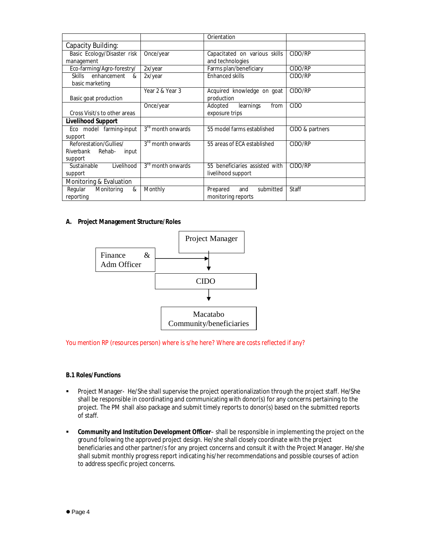|                                                                   |                               | Orientation                                          |                 |  |  |
|-------------------------------------------------------------------|-------------------------------|------------------------------------------------------|-----------------|--|--|
| Capacity Building:                                                |                               |                                                      |                 |  |  |
| Basic Ecology/Disaster risk<br>management                         | Once/year                     | Capacitated on various skills<br>and technologies    | CIDO/RP         |  |  |
| Eco-farming/Agro-forestry/                                        | 2x/year                       | Farms plan/beneficiary                               | CIDO/RP         |  |  |
| <b>Skills</b><br>enhancement<br>&<br>basic marketing              | 2x/year                       | <b>Enhanced skills</b>                               | CIDO/RP         |  |  |
| Basic goat production                                             | Year 2 & Year 3               | Acquired knowledge on goat<br>production             | CIDO/RP         |  |  |
| Cross Visit/s to other areas                                      | Once/year                     | learnings<br>Adopted<br>from<br>exposure trips       | <b>CIDO</b>     |  |  |
| <b>Livelihood Support</b>                                         |                               |                                                      |                 |  |  |
| Eco model farming-input<br>support                                | 3 <sup>rd</sup> month onwards | 55 model farms established                           | CIDO & partners |  |  |
| Reforestation/Gullies/<br>Riverbank<br>Rehab-<br>input<br>support | $3rd$ month onwards           | 55 areas of ECA established                          | CIDO/RP         |  |  |
| Sustainable<br>Livelihood<br>support                              | 3 <sup>rd</sup> month onwards | 55 beneficiaries assisted with<br>livelihood support | CIDO/RP         |  |  |
| Monitoring & Evaluation                                           |                               |                                                      |                 |  |  |
| Monitoring<br>Regular<br>&<br>reporting                           | Monthly                       | Prepared<br>submitted<br>and<br>monitoring reports   | Staff           |  |  |

#### **A. Project Management Structure/Roles**



#### You mention RP (resources person) where is s/he here? Where are costs reflected if any?

### **B.1 Roles/Functions**

- Project Manager- He/She shall supervise the project operationalization through the project staff. He/She shall be responsible in coordinating and communicating with donor(s) for any concerns pertaining to the project. The PM shall also package and submit timely reports to donor(s) based on the submitted reports of staff.
- **Community and Institution Development Officer** shall be responsible in implementing the project on the ground following the approved project design. He/she shall closely coordinate with the project beneficiaries and other partner/s for any project concerns and consult it with the Project Manager. He/she shall submit monthly progress report indicating his/her recommendations and possible courses of action to address specific project concerns.